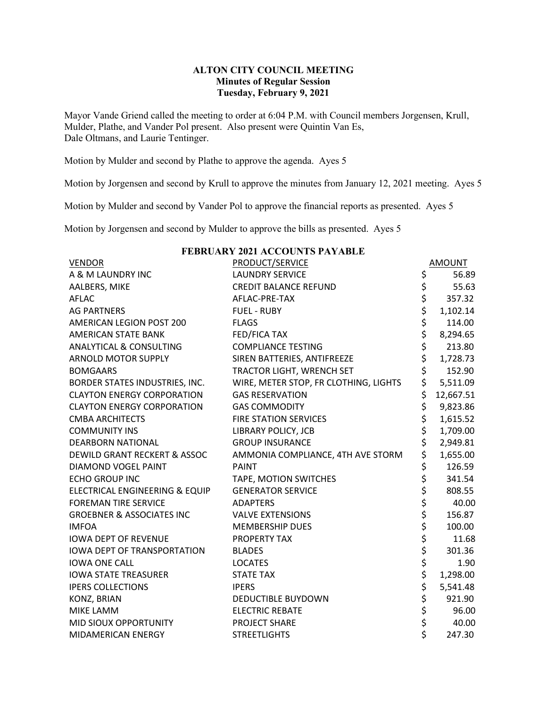## **ALTON CITY COUNCIL MEETING Minutes of Regular Session Tuesday, February 9, 2021**

Mayor Vande Griend called the meeting to order at 6:04 P.M. with Council members Jorgensen, Krull, Mulder, Plathe, and Vander Pol present. Also present were Quintin Van Es, Dale Oltmans, and Laurie Tentinger.

Motion by Mulder and second by Plathe to approve the agenda. Ayes 5

Motion by Jorgensen and second by Krull to approve the minutes from January 12, 2021 meeting. Ayes 5

Motion by Mulder and second by Vander Pol to approve the financial reports as presented. Ayes 5

Motion by Jorgensen and second by Mulder to approve the bills as presented. Ayes 5

| <b>VENDOR</b>                           | <b>PRODUCT/SERVICE</b>                |             | <b>AMOUNT</b> |  |
|-----------------------------------------|---------------------------------------|-------------|---------------|--|
| A & M LAUNDRY INC                       | <b>LAUNDRY SERVICE</b>                |             | 56.89         |  |
| AALBERS, MIKE                           | <b>CREDIT BALANCE REFUND</b>          |             | 55.63         |  |
| <b>AFLAC</b>                            | AFLAC-PRE-TAX                         |             | 357.32        |  |
| <b>AG PARTNERS</b>                      | <b>FUEL - RUBY</b>                    |             | 1,102.14      |  |
| AMERICAN LEGION POST 200                | <b>FLAGS</b>                          |             | 114.00        |  |
| AMERICAN STATE BANK                     | FED/FICA TAX                          |             | 8,294.65      |  |
| <b>ANALYTICAL &amp; CONSULTING</b>      | <b>COMPLIANCE TESTING</b>             |             | 213.80        |  |
| <b>ARNOLD MOTOR SUPPLY</b>              | SIREN BATTERIES, ANTIFREEZE           |             | 1,728.73      |  |
| <b>BOMGAARS</b>                         | TRACTOR LIGHT, WRENCH SET             | \$          | 152.90        |  |
| BORDER STATES INDUSTRIES, INC.          | WIRE, METER STOP, FR CLOTHING, LIGHTS | \$          | 5,511.09      |  |
| <b>CLAYTON ENERGY CORPORATION</b>       | <b>GAS RESERVATION</b>                | \$          | 12,667.51     |  |
| <b>CLAYTON ENERGY CORPORATION</b>       | <b>GAS COMMODITY</b>                  | \$          | 9,823.86      |  |
| <b>CMBA ARCHITECTS</b>                  | <b>FIRE STATION SERVICES</b>          | \$<br>\$    | 1,615.52      |  |
| <b>COMMUNITY INS</b>                    | <b>LIBRARY POLICY, JCB</b>            |             | 1,709.00      |  |
| <b>DEARBORN NATIONAL</b>                | <b>GROUP INSURANCE</b>                | \$          | 2,949.81      |  |
| <b>DEWILD GRANT RECKERT &amp; ASSOC</b> | AMMONIA COMPLIANCE, 4TH AVE STORM     | \$          | 1,655.00      |  |
| <b>DIAMOND VOGEL PAINT</b>              | <b>PAINT</b>                          |             | 126.59        |  |
| <b>ECHO GROUP INC</b>                   | TAPE, MOTION SWITCHES                 | \$ \$ \$ \$ | 341.54        |  |
| ELECTRICAL ENGINEERING & EQUIP          | <b>GENERATOR SERVICE</b>              |             | 808.55        |  |
| <b>FOREMAN TIRE SERVICE</b>             | <b>ADAPTERS</b>                       |             | 40.00         |  |
| <b>GROEBNER &amp; ASSOCIATES INC</b>    | <b>VALVE EXTENSIONS</b>               | \$<br>\$    | 156.87        |  |
| <b>IMFOA</b>                            | <b>MEMBERSHIP DUES</b>                |             | 100.00        |  |
| <b>IOWA DEPT OF REVENUE</b>             | PROPERTY TAX                          | \$          | 11.68         |  |
| <b>IOWA DEPT OF TRANSPORTATION</b>      | <b>BLADES</b>                         |             | 301.36        |  |
| <b>IOWA ONE CALL</b>                    | <b>LOCATES</b>                        | \$\$\$      | 1.90          |  |
| <b>IOWA STATE TREASURER</b>             | <b>STATE TAX</b>                      |             | 1,298.00      |  |
| <b>IPERS COLLECTIONS</b>                | <b>IPERS</b>                          | \$          | 5,541.48      |  |
| KONZ, BRIAN                             | DEDUCTIBLE BUYDOWN                    | \$          | 921.90        |  |
| MIKE LAMM                               | <b>ELECTRIC REBATE</b>                | \$          | 96.00         |  |
| MID SIOUX OPPORTUNITY                   | PROJECT SHARE                         | \$<br>\$    | 40.00         |  |
| MIDAMERICAN ENERGY                      | <b>STREETLIGHTS</b>                   |             | 247.30        |  |

## **FEBRUARY 2021 ACCOUNTS PAYABLE**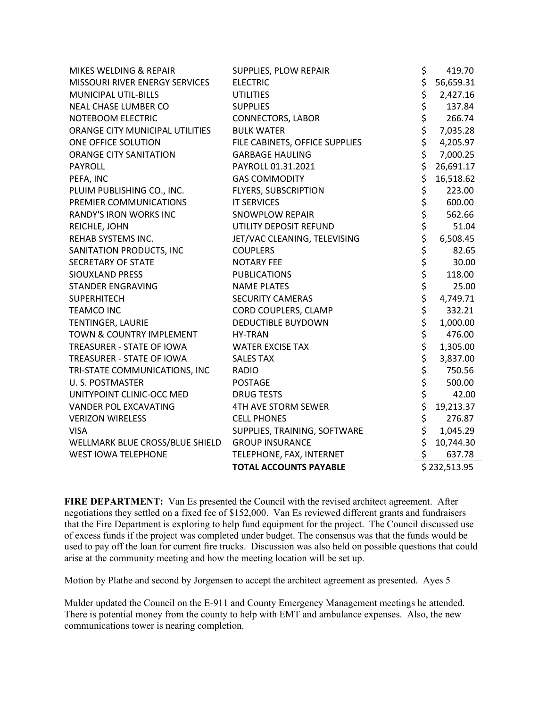| MIKES WELDING & REPAIR          | SUPPLIES, PLOW REPAIR          | \$       | 419.70       |
|---------------------------------|--------------------------------|----------|--------------|
| MISSOURI RIVER ENERGY SERVICES  | <b>ELECTRIC</b>                | \$       | 56,659.31    |
| MUNICIPAL UTIL-BILLS            | <b>UTILITIES</b>               |          | 2,427.16     |
| NEAL CHASE LUMBER CO            | <b>SUPPLIES</b>                |          | 137.84       |
| NOTEBOOM ELECTRIC               | <b>CONNECTORS, LABOR</b>       |          | 266.74       |
| ORANGE CITY MUNICIPAL UTILITIES | <b>BULK WATER</b>              |          | 7,035.28     |
| ONE OFFICE SOLUTION             | FILE CABINETS, OFFICE SUPPLIES |          | 4,205.97     |
| ORANGE CITY SANITATION          | <b>GARBAGE HAULING</b>         |          | 7,000.25     |
| <b>PAYROLL</b>                  | PAYROLL 01.31.2021             | \$       | 26,691.17    |
| PEFA, INC                       | <b>GAS COMMODITY</b>           | \$       | 16,518.62    |
| PLUIM PUBLISHING CO., INC.      | FLYERS, SUBSCRIPTION           | \$       | 223.00       |
| PREMIER COMMUNICATIONS          | <b>IT SERVICES</b>             | \$       | 600.00       |
| RANDY'S IRON WORKS INC          | <b>SNOWPLOW REPAIR</b>         |          | 562.66       |
| REICHLE, JOHN                   | UTILITY DEPOSIT REFUND         | \$<br>\$ | 51.04        |
| REHAB SYSTEMS INC.              | JET/VAC CLEANING, TELEVISING   | \$       | 6,508.45     |
| SANITATION PRODUCTS, INC        | <b>COUPLERS</b>                | \$       | 82.65        |
| <b>SECRETARY OF STATE</b>       | <b>NOTARY FEE</b>              |          | 30.00        |
| SIOUXLAND PRESS                 | <b>PUBLICATIONS</b>            | \$<br>\$ | 118.00       |
| <b>STANDER ENGRAVING</b>        | <b>NAME PLATES</b>             | \$       | 25.00        |
| <b>SUPERHITECH</b>              | <b>SECURITY CAMERAS</b>        | \$       | 4,749.71     |
| <b>TEAMCO INC</b>               | CORD COUPLERS, CLAMP           | \$       | 332.21       |
| TENTINGER, LAURIE               | <b>DEDUCTIBLE BUYDOWN</b>      | \$       | 1,000.00     |
| TOWN & COUNTRY IMPLEMENT        | HY-TRAN                        |          | 476.00       |
| TREASURER - STATE OF IOWA       | <b>WATER EXCISE TAX</b>        | \$<br>\$ | 1,305.00     |
| TREASURER - STATE OF IOWA       | <b>SALES TAX</b>               | \$       | 3,837.00     |
| TRI-STATE COMMUNICATIONS, INC   | <b>RADIO</b>                   | \$       | 750.56       |
| <b>U.S. POSTMASTER</b>          | <b>POSTAGE</b>                 | \$       | 500.00       |
| UNITYPOINT CLINIC-OCC MED       | <b>DRUG TESTS</b>              | \$       | 42.00        |
| VANDER POL EXCAVATING           | 4TH AVE STORM SEWER            | \$       | 19,213.37    |
| <b>VERIZON WIRELESS</b>         | <b>CELL PHONES</b>             | \$       | 276.87       |
| <b>VISA</b>                     | SUPPLIES, TRAINING, SOFTWARE   | \$       | 1,045.29     |
| WELLMARK BLUE CROSS/BLUE SHIELD | <b>GROUP INSURANCE</b>         | \$       | 10,744.30    |
| <b>WEST IOWA TELEPHONE</b>      | TELEPHONE, FAX, INTERNET       | \$       | 637.78       |
|                                 | <b>TOTAL ACCOUNTS PAYABLE</b>  |          | \$232,513.95 |

**FIRE DEPARTMENT:** Van Es presented the Council with the revised architect agreement. After negotiations they settled on a fixed fee of \$152,000. Van Es reviewed different grants and fundraisers that the Fire Department is exploring to help fund equipment for the project. The Council discussed use of excess funds if the project was completed under budget. The consensus was that the funds would be used to pay off the loan for current fire trucks. Discussion was also held on possible questions that could arise at the community meeting and how the meeting location will be set up.

Motion by Plathe and second by Jorgensen to accept the architect agreement as presented. Ayes 5

Mulder updated the Council on the E-911 and County Emergency Management meetings he attended. There is potential money from the county to help with EMT and ambulance expenses. Also, the new communications tower is nearing completion.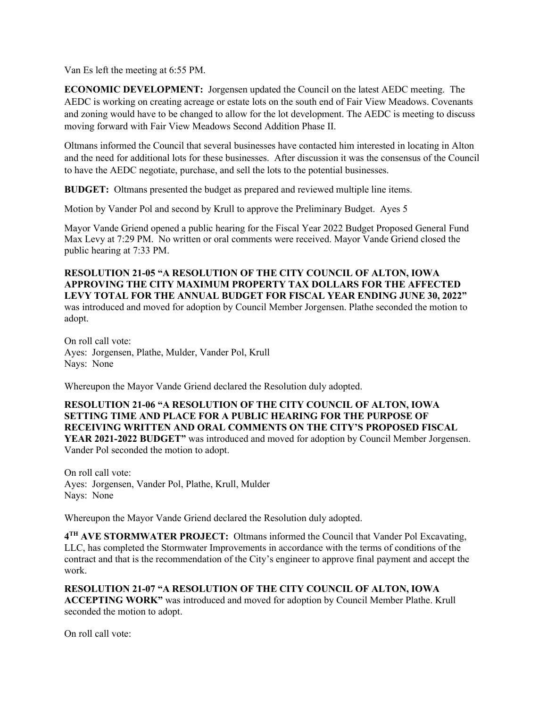Van Es left the meeting at 6:55 PM.

**ECONOMIC DEVELOPMENT:** Jorgensen updated the Council on the latest AEDC meeting. The AEDC is working on creating acreage or estate lots on the south end of Fair View Meadows. Covenants and zoning would have to be changed to allow for the lot development. The AEDC is meeting to discuss moving forward with Fair View Meadows Second Addition Phase II.

Oltmans informed the Council that several businesses have contacted him interested in locating in Alton and the need for additional lots for these businesses. After discussion it was the consensus of the Council to have the AEDC negotiate, purchase, and sell the lots to the potential businesses.

**BUDGET:** Oltmans presented the budget as prepared and reviewed multiple line items.

Motion by Vander Pol and second by Krull to approve the Preliminary Budget. Ayes 5

Mayor Vande Griend opened a public hearing for the Fiscal Year 2022 Budget Proposed General Fund Max Levy at 7:29 PM. No written or oral comments were received. Mayor Vande Griend closed the public hearing at 7:33 PM.

**RESOLUTION 21-05 "A RESOLUTION OF THE CITY COUNCIL OF ALTON, IOWA APPROVING THE CITY MAXIMUM PROPERTY TAX DOLLARS FOR THE AFFECTED LEVY TOTAL FOR THE ANNUAL BUDGET FOR FISCAL YEAR ENDING JUNE 30, 2022"**  was introduced and moved for adoption by Council Member Jorgensen. Plathe seconded the motion to adopt.

On roll call vote: Ayes: Jorgensen, Plathe, Mulder, Vander Pol, Krull Nays: None

Whereupon the Mayor Vande Griend declared the Resolution duly adopted.

## **RESOLUTION 21-06 "A RESOLUTION OF THE CITY COUNCIL OF ALTON, IOWA SETTING TIME AND PLACE FOR A PUBLIC HEARING FOR THE PURPOSE OF RECEIVING WRITTEN AND ORAL COMMENTS ON THE CITY'S PROPOSED FISCAL YEAR 2021-2022 BUDGET"** was introduced and moved for adoption by Council Member Jorgensen. Vander Pol seconded the motion to adopt.

On roll call vote: Ayes: Jorgensen, Vander Pol, Plathe, Krull, Mulder Nays: None

Whereupon the Mayor Vande Griend declared the Resolution duly adopted.

**4TH AVE STORMWATER PROJECT:** Oltmans informed the Council that Vander Pol Excavating, LLC, has completed the Stormwater Improvements in accordance with the terms of conditions of the contract and that is the recommendation of the City's engineer to approve final payment and accept the work.

**RESOLUTION 21-07 "A RESOLUTION OF THE CITY COUNCIL OF ALTON, IOWA ACCEPTING WORK"** was introduced and moved for adoption by Council Member Plathe. Krull seconded the motion to adopt.

On roll call vote: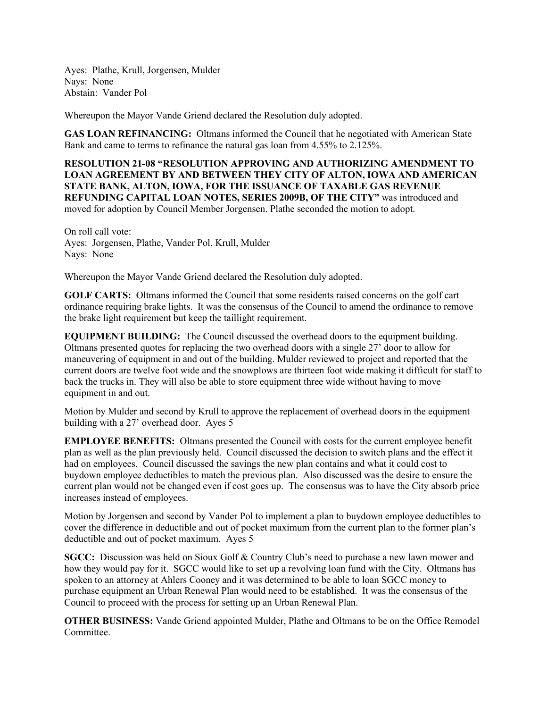Ayes: Plathe, Krull, Jorgensen, Mulder Nays: None Abstain: Vander Pol

Whereupon the Mayor Vande Griend declared the Resolution duly adopted.

**GAS LOAN REFINANCING:** Oltmans informed the Council that he negotiated with American State Bank and came to terms to refinance the natural gas loan from 4.55% to 2.125%.

**RESOLUTION 21-08 "RESOLUTION APPROVING AND AUTHORIZING AMENDMENT TO LOAN AGREEMENT BY AND BETWEEN THEY CITY OF ALTON, IOWA AND AMERICAN STATE BANK, ALTON, IOWA, FOR THE ISSUANCE OF TAXABLE GAS REVENUE REFUNDING CAPITAL LOAN NOTES, SERIES 2009B, OF THE CITY"** was introduced and moved for adoption by Council Member Jorgensen. Plathe seconded the motion to adopt.

On roll call vote: Ayes: Jorgensen, Plathe, Vander Pol, Krull, Mulder Nays: None

Whereupon the Mayor Vande Griend declared the Resolution duly adopted.

**GOLF CARTS:** Oltmans informed the Council that some residents raised concerns on the golf cart ordinance requiring brake lights. It was the consensus of the Council to amend the ordinance to remove the brake light requirement but keep the taillight requirement.

**EQUIPMENT BUILDING:** The Council discussed the overhead doors to the equipment building. Oltmans presented quotes for replacing the two overhead doors with a single 27' door to allow for maneuvering of equipment in and out of the building. Mulder reviewed to project and reported that the current doors are twelve foot wide and the snowplows are thirteen foot wide making it difficult for staff to back the trucks in. They will also be able to store equipment three wide without having to move equipment in and out.

Motion by Mulder and second by Krull to approve the replacement of overhead doors in the equipment building with a 27' overhead door. Ayes 5

**EMPLOYEE BENEFITS:** Oltmans presented the Council with costs for the current employee benefit plan as well as the plan previously held. Council discussed the decision to switch plans and the effect it had on employees. Council discussed the savings the new plan contains and what it could cost to buydown employee deductibles to match the previous plan. Also discussed was the desire to ensure the current plan would not be changed even if cost goes up. The consensus was to have the City absorb price increases instead of employees.

Motion by Jorgensen and second by Vander Pol to implement a plan to buydown employee deductibles to cover the difference in deductible and out of pocket maximum from the current plan to the former plan's deductible and out of pocket maximum. Ayes 5

**SGCC:** Discussion was held on Sioux Golf & Country Club's need to purchase a new lawn mower and how they would pay for it. SGCC would like to set up a revolving loan fund with the City. Oltmans has spoken to an attorney at Ahlers Cooney and it was determined to be able to loan SGCC money to purchase equipment an Urban Renewal Plan would need to be established. It was the consensus of the Council to proceed with the process for setting up an Urban Renewal Plan.

**OTHER BUSINESS:** Vande Griend appointed Mulder, Plathe and Oltmans to be on the Office Remodel Committee.